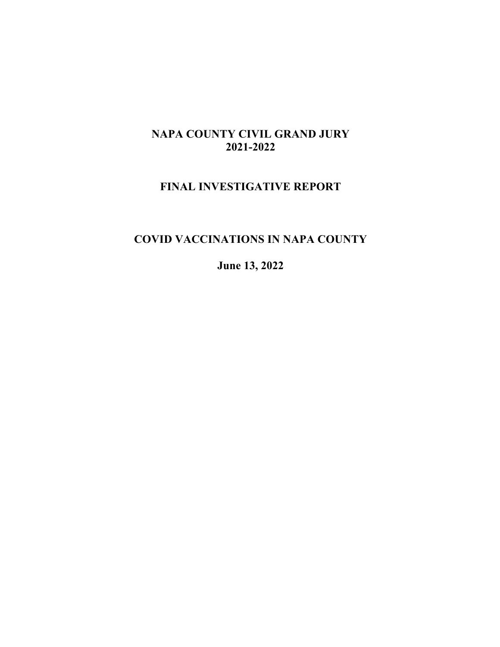## **NAPA COUNTY CIVIL GRAND JURY 2021-2022**

## **FINAL INVESTIGATIVE REPORT**

## **COVID VACCINATIONS IN NAPA COUNTY**

**June 13, 2022**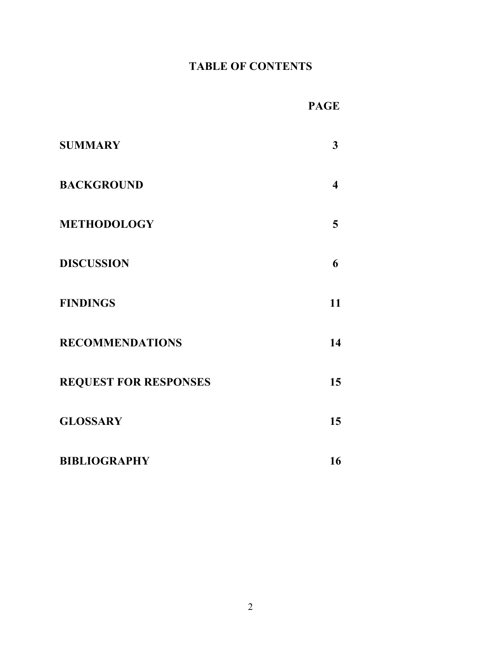# **TABLE OF CONTENTS**

| <b>SUMMARY</b>               | 3  |
|------------------------------|----|
| <b>BACKGROUND</b>            | 4  |
| <b>METHODOLOGY</b>           | 5  |
| <b>DISCUSSION</b>            | 6  |
| <b>FINDINGS</b>              | 11 |
| <b>RECOMMENDATIONS</b>       | 14 |
| <b>REQUEST FOR RESPONSES</b> | 15 |
| <b>GLOSSARY</b>              | 15 |
| <b>BIBLIOGRAPHY</b>          | 16 |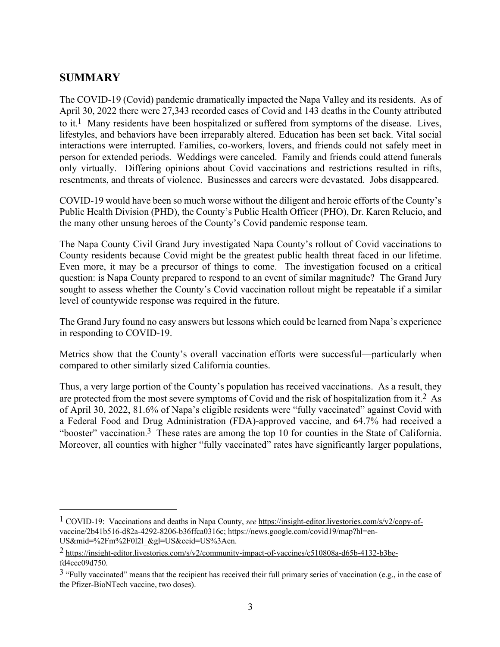## **SUMMARY**

The COVID-19 (Covid) pandemic dramatically impacted the Napa Valley and its residents. As of April 30, 2022 there were 27,343 recorded cases of Covid and 143 deaths in the County attributed to it.<sup>1</sup> Many residents have been hospitalized or suffered from symptoms of the disease. Lives, lifestyles, and behaviors have been irreparably altered. Education has been set back. Vital social interactions were interrupted. Families, co-workers, lovers, and friends could not safely meet in person for extended periods. Weddings were canceled. Family and friends could attend funerals only virtually. Differing opinions about Covid vaccinations and restrictions resulted in rifts, resentments, and threats of violence. Businesses and careers were devastated. Jobs disappeared.

COVID-19 would have been so much worse without the diligent and heroic efforts of the County's Public Health Division (PHD), the County's Public Health Officer (PHO), Dr. Karen Relucio, and the many other unsung heroes of the County's Covid pandemic response team.

The Napa County Civil Grand Jury investigated Napa County's rollout of Covid vaccinations to County residents because Covid might be the greatest public health threat faced in our lifetime. Even more, it may be a precursor of things to come. The investigation focused on a critical question: is Napa County prepared to respond to an event of similar magnitude? The Grand Jury sought to assess whether the County's Covid vaccination rollout might be repeatable if a similar level of countywide response was required in the future.

The Grand Jury found no easy answers but lessons which could be learned from Napa's experience in responding to COVID-19.

Metrics show that the County's overall vaccination efforts were successful—particularly when compared to other similarly sized California counties.

Thus, a very large portion of the County's population has received vaccinations. As a result, they are protected from the most severe symptoms of Covid and the risk of hospitalization from it.2 As of April 30, 2022, 81.6% of Napa's eligible residents were "fully vaccinated" against Covid with a Federal Food and Drug Administration (FDA)-approved vaccine, and 64.7% had received a "booster" vaccination.<sup>3</sup> These rates are among the top 10 for counties in the State of California. Moreover, all counties with higher "fully vaccinated" rates have significantly larger populations,

<sup>1</sup> COVID-19: Vaccinations and deaths in Napa County, *see* https://insight-editor.livestories.com/s/v2/copy-ofvaccine/2b41b516-d82a-4292-8206-b36ffca0316c; https://news.google.com/covid19/map?hl=en-US&mid=%2Fm%2F0l2l\_&gl=US&ceid=US%3Aen.

<sup>2</sup> https://insight-editor.livestories.com/s/v2/community-impact-of-vaccines/c510808a-d65b-4132-b3befd4ccc09d750.

<sup>&</sup>lt;sup>3</sup> "Fully vaccinated" means that the recipient has received their full primary series of vaccination (e.g., in the case of the Pfizer-BioNTech vaccine, two doses).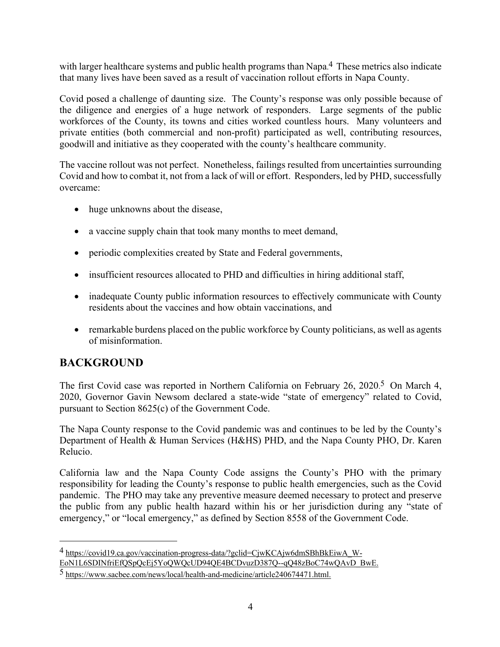with larger healthcare systems and public health programs than Napa.<sup>4</sup> These metrics also indicate that many lives have been saved as a result of vaccination rollout efforts in Napa County.

Covid posed a challenge of daunting size. The County's response was only possible because of the diligence and energies of a huge network of responders. Large segments of the public workforces of the County, its towns and cities worked countless hours. Many volunteers and private entities (both commercial and non-profit) participated as well, contributing resources, goodwill and initiative as they cooperated with the county's healthcare community.

The vaccine rollout was not perfect. Nonetheless, failings resulted from uncertainties surrounding Covid and how to combat it, not from a lack of will or effort. Responders, led by PHD, successfully overcame:

- huge unknowns about the disease,
- a vaccine supply chain that took many months to meet demand,
- periodic complexities created by State and Federal governments,
- insufficient resources allocated to PHD and difficulties in hiring additional staff,
- inadequate County public information resources to effectively communicate with County residents about the vaccines and how obtain vaccinations, and
- remarkable burdens placed on the public workforce by County politicians, as well as agents of misinformation.

## **BACKGROUND**

The first Covid case was reported in Northern California on February 26, 2020.<sup>5</sup> On March 4, 2020, Governor Gavin Newsom declared a state-wide "state of emergency" related to Covid, pursuant to Section 8625(c) of the Government Code.

The Napa County response to the Covid pandemic was and continues to be led by the County's Department of Health & Human Services (H&HS) PHD, and the Napa County PHO, Dr. Karen Relucio.

California law and the Napa County Code assigns the County's PHO with the primary responsibility for leading the County's response to public health emergencies, such as the Covid pandemic. The PHO may take any preventive measure deemed necessary to protect and preserve the public from any public health hazard within his or her jurisdiction during any "state of emergency," or "local emergency," as defined by Section 8558 of the Government Code.

<sup>4</sup> https://covid19.ca.gov/vaccination-progress-data/?gclid=CjwKCAjw6dmSBhBkEiwA\_W-EoN1L6SDINfriEfQSpQcEj5YoQWQcUD94QE4BCDvuzD387Q--qQ48zBoC74wQAvD\_BwE.

<sup>5</sup> https://www.sacbee.com/news/local/health-and-medicine/article240674471.html.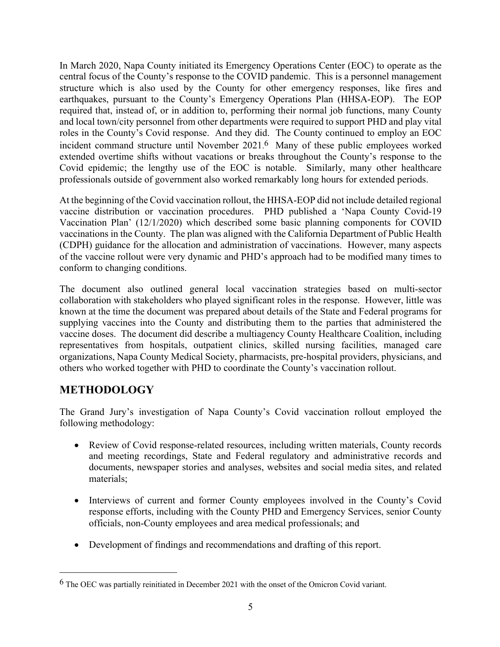In March 2020, Napa County initiated its Emergency Operations Center (EOC) to operate as the central focus of the County's response to the COVID pandemic. This is a personnel management structure which is also used by the County for other emergency responses, like fires and earthquakes, pursuant to the County's Emergency Operations Plan (HHSA-EOP). The EOP required that, instead of, or in addition to, performing their normal job functions, many County and local town/city personnel from other departments were required to support PHD and play vital roles in the County's Covid response. And they did. The County continued to employ an EOC incident command structure until November 2021. 6 Many of these public employees worked extended overtime shifts without vacations or breaks throughout the County's response to the Covid epidemic; the lengthy use of the EOC is notable. Similarly, many other healthcare professionals outside of government also worked remarkably long hours for extended periods.

At the beginning of the Covid vaccination rollout, the HHSA-EOP did not include detailed regional vaccine distribution or vaccination procedures. PHD published a 'Napa County Covid-19 Vaccination Plan' (12/1/2020) which described some basic planning components for COVID vaccinations in the County. The plan was aligned with the California Department of Public Health (CDPH) guidance for the allocation and administration of vaccinations. However, many aspects of the vaccine rollout were very dynamic and PHD's approach had to be modified many times to conform to changing conditions.

The document also outlined general local vaccination strategies based on multi-sector collaboration with stakeholders who played significant roles in the response. However, little was known at the time the document was prepared about details of the State and Federal programs for supplying vaccines into the County and distributing them to the parties that administered the vaccine doses. The document did describe a multiagency County Healthcare Coalition, including representatives from hospitals, outpatient clinics, skilled nursing facilities, managed care organizations, Napa County Medical Society, pharmacists, pre-hospital providers, physicians, and others who worked together with PHD to coordinate the County's vaccination rollout.

## **METHODOLOGY**

The Grand Jury's investigation of Napa County's Covid vaccination rollout employed the following methodology:

- Review of Covid response-related resources, including written materials, County records and meeting recordings, State and Federal regulatory and administrative records and documents, newspaper stories and analyses, websites and social media sites, and related materials;
- Interviews of current and former County employees involved in the County's Covid response efforts, including with the County PHD and Emergency Services, senior County officials, non-County employees and area medical professionals; and
- Development of findings and recommendations and drafting of this report.

 $6$  The OEC was partially reinitiated in December 2021 with the onset of the Omicron Covid variant.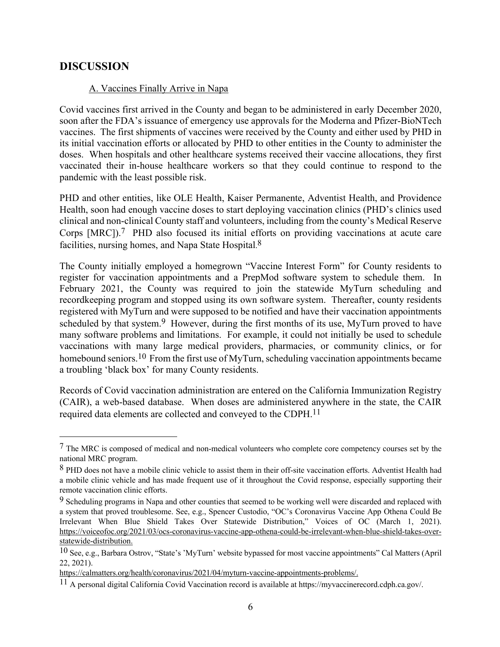### **DISCUSSION**

#### A. Vaccines Finally Arrive in Napa

Covid vaccines first arrived in the County and began to be administered in early December 2020, soon after the FDA's issuance of emergency use approvals for the Moderna and Pfizer-BioNTech vaccines. The first shipments of vaccines were received by the County and either used by PHD in its initial vaccination efforts or allocated by PHD to other entities in the County to administer the doses. When hospitals and other healthcare systems received their vaccine allocations, they first vaccinated their in-house healthcare workers so that they could continue to respond to the pandemic with the least possible risk.

PHD and other entities, like OLE Health, Kaiser Permanente, Adventist Health, and Providence Health, soon had enough vaccine doses to start deploying vaccination clinics (PHD's clinics used clinical and non-clinical County staff and volunteers, including from the county's Medical Reserve Corps [MRC]).<sup>7</sup> PHD also focused its initial efforts on providing vaccinations at acute care facilities, nursing homes, and Napa State Hospital.<sup>8</sup>

The County initially employed a homegrown "Vaccine Interest Form" for County residents to register for vaccination appointments and a PrepMod software system to schedule them. In February 2021, the County was required to join the statewide MyTurn scheduling and recordkeeping program and stopped using its own software system. Thereafter, county residents registered with MyTurn and were supposed to be notified and have their vaccination appointments scheduled by that system.<sup>9</sup> However, during the first months of its use, MyTurn proved to have many software problems and limitations. For example, it could not initially be used to schedule vaccinations with many large medical providers, pharmacies, or community clinics, or for homebound seniors.<sup>10</sup> From the first use of MyTurn, scheduling vaccination appointments became a troubling 'black box' for many County residents.

Records of Covid vaccination administration are entered on the California Immunization Registry (CAIR), a web-based database. When doses are administered anywhere in the state, the CAIR required data elements are collected and conveyed to the CDPH.<sup>11</sup>

<sup>7</sup> The MRC is composed of medical and non-medical volunteers who complete core competency courses set by the national MRC program.

<sup>8</sup> PHD does not have a mobile clinic vehicle to assist them in their off-site vaccination efforts. Adventist Health had a mobile clinic vehicle and has made frequent use of it throughout the Covid response, especially supporting their remote vaccination clinic efforts.

<sup>&</sup>lt;sup>9</sup> Scheduling programs in Napa and other counties that seemed to be working well were discarded and replaced with a system that proved troublesome. See, e.g., Spencer Custodio, "OC's Coronavirus Vaccine App Othena Could Be Irrelevant When Blue Shield Takes Over Statewide Distribution," Voices of OC (March 1, 2021). https://voiceofoc.org/2021/03/ocs-coronavirus-vaccine-app-othena-could-be-irrelevant-when-blue-shield-takes-overstatewide-distribution.

 $10$  See, e.g., Barbara Ostrov, "State's 'MyTurn' website bypassed for most vaccine appointments" Cal Matters (April 22, 2021).

https://calmatters.org/health/coronavirus/2021/04/myturn-vaccine-appointments-problems/.

 $11$  A personal digital California Covid Vaccination record is available at https://myvaccinerecord.cdph.ca.gov/.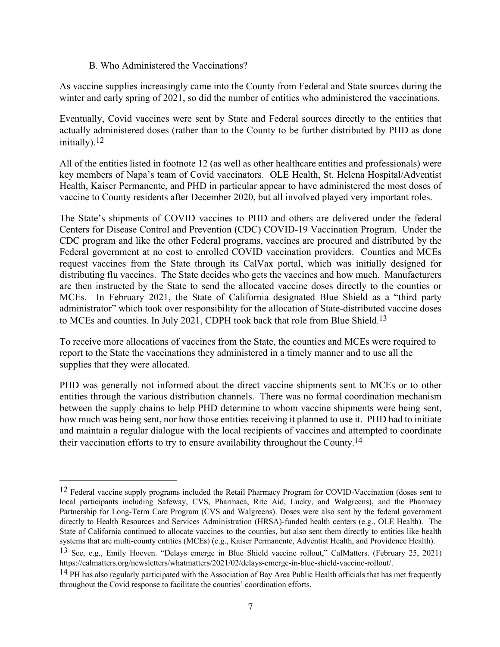#### B. Who Administered the Vaccinations?

As vaccine supplies increasingly came into the County from Federal and State sources during the winter and early spring of 2021, so did the number of entities who administered the vaccinations.

Eventually, Covid vaccines were sent by State and Federal sources directly to the entities that actually administered doses (rather than to the County to be further distributed by PHD as done initially).12

All of the entities listed in footnote 12 (as well as other healthcare entities and professionals) were key members of Napa's team of Covid vaccinators. OLE Health, St. Helena Hospital/Adventist Health, Kaiser Permanente, and PHD in particular appear to have administered the most doses of vaccine to County residents after December 2020, but all involved played very important roles.

The State's shipments of COVID vaccines to PHD and others are delivered under the federal Centers for Disease Control and Prevention (CDC) COVID-19 Vaccination Program. Under the CDC program and like the other Federal programs, vaccines are procured and distributed by the Federal government at no cost to enrolled COVID vaccination providers. Counties and MCEs request vaccines from the State through its CalVax portal, which was initially designed for distributing flu vaccines. The State decides who gets the vaccines and how much. Manufacturers are then instructed by the State to send the allocated vaccine doses directly to the counties or MCEs. In February 2021, the State of California designated Blue Shield as a "third party administrator" which took over responsibility for the allocation of State-distributed vaccine doses to MCEs and counties. In July 2021, CDPH took back that role from Blue Shield.<sup>13</sup>

To receive more allocations of vaccines from the State, the counties and MCEs were required to report to the State the vaccinations they administered in a timely manner and to use all the supplies that they were allocated.

PHD was generally not informed about the direct vaccine shipments sent to MCEs or to other entities through the various distribution channels. There was no formal coordination mechanism between the supply chains to help PHD determine to whom vaccine shipments were being sent, how much was being sent, nor how those entities receiving it planned to use it. PHD had to initiate and maintain a regular dialogue with the local recipients of vaccines and attempted to coordinate their vaccination efforts to try to ensure availability throughout the County.<sup>14</sup>

<sup>&</sup>lt;sup>12</sup> Federal vaccine supply programs included the Retail Pharmacy Program for COVID-Vaccination (doses sent to local participants including Safeway, CVS, Pharmaca, Rite Aid, Lucky, and Walgreens), and the Pharmacy Partnership for Long-Term Care Program (CVS and Walgreens). Doses were also sent by the federal government directly to Health Resources and Services Administration (HRSA)-funded health centers (e.g., OLE Health). The State of California continued to allocate vaccines to the counties, but also sent them directly to entities like health systems that are multi-county entities (MCEs) (e.g., Kaiser Permanente, Adventist Health, and Providence Health).

<sup>13</sup> See, e.g., Emily Hoeven. "Delays emerge in Blue Shield vaccine rollout," CalMatters. (February 25, 2021) https://calmatters.org/newsletters/whatmatters/2021/02/delays-emerge-in-blue-shield-vaccine-rollout/.

<sup>&</sup>lt;sup>14</sup> PH has also regularly participated with the Association of Bay Area Public Health officials that has met frequently throughout the Covid response to facilitate the counties' coordination efforts.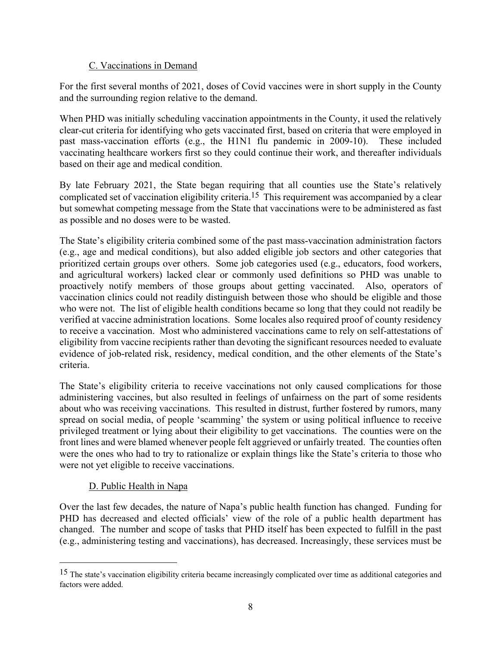#### C. Vaccinations in Demand

For the first several months of 2021, doses of Covid vaccines were in short supply in the County and the surrounding region relative to the demand.

When PHD was initially scheduling vaccination appointments in the County, it used the relatively clear-cut criteria for identifying who gets vaccinated first, based on criteria that were employed in past mass-vaccination efforts (e.g., the H1N1 flu pandemic in 2009-10). These included vaccinating healthcare workers first so they could continue their work, and thereafter individuals based on their age and medical condition.

By late February 2021, the State began requiring that all counties use the State's relatively complicated set of vaccination eligibility criteria.<sup>15</sup> This requirement was accompanied by a clear but somewhat competing message from the State that vaccinations were to be administered as fast as possible and no doses were to be wasted.

The State's eligibility criteria combined some of the past mass-vaccination administration factors (e.g., age and medical conditions), but also added eligible job sectors and other categories that prioritized certain groups over others. Some job categories used (e.g., educators, food workers, and agricultural workers) lacked clear or commonly used definitions so PHD was unable to proactively notify members of those groups about getting vaccinated. Also, operators of vaccination clinics could not readily distinguish between those who should be eligible and those who were not. The list of eligible health conditions became so long that they could not readily be verified at vaccine administration locations. Some locales also required proof of county residency to receive a vaccination. Most who administered vaccinations came to rely on self-attestations of eligibility from vaccine recipients rather than devoting the significant resources needed to evaluate evidence of job-related risk, residency, medical condition, and the other elements of the State's criteria.

The State's eligibility criteria to receive vaccinations not only caused complications for those administering vaccines, but also resulted in feelings of unfairness on the part of some residents about who was receiving vaccinations. This resulted in distrust, further fostered by rumors, many spread on social media, of people 'scamming' the system or using political influence to receive privileged treatment or lying about their eligibility to get vaccinations. The counties were on the front lines and were blamed whenever people felt aggrieved or unfairly treated. The counties often were the ones who had to try to rationalize or explain things like the State's criteria to those who were not yet eligible to receive vaccinations.

#### D. Public Health in Napa

Over the last few decades, the nature of Napa's public health function has changed. Funding for PHD has decreased and elected officials' view of the role of a public health department has changed. The number and scope of tasks that PHD itself has been expected to fulfill in the past (e.g., administering testing and vaccinations), has decreased. Increasingly, these services must be

<sup>&</sup>lt;sup>15</sup> The state's vaccination eligibility criteria became increasingly complicated over time as additional categories and factors were added.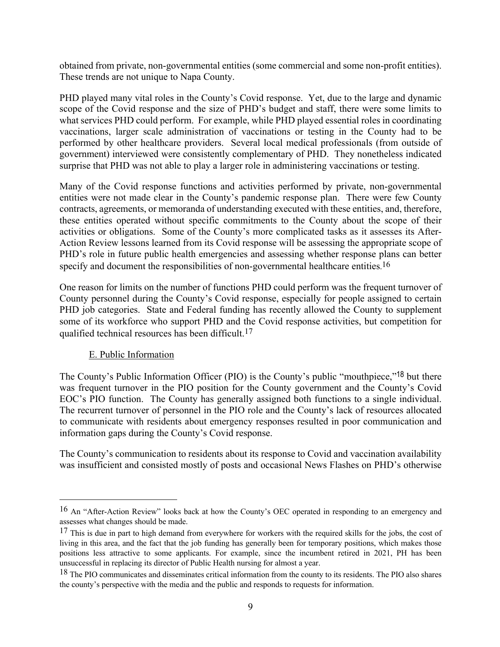obtained from private, non-governmental entities (some commercial and some non-profit entities). These trends are not unique to Napa County.

PHD played many vital roles in the County's Covid response. Yet, due to the large and dynamic scope of the Covid response and the size of PHD's budget and staff, there were some limits to what services PHD could perform. For example, while PHD played essential roles in coordinating vaccinations, larger scale administration of vaccinations or testing in the County had to be performed by other healthcare providers. Several local medical professionals (from outside of government) interviewed were consistently complementary of PHD. They nonetheless indicated surprise that PHD was not able to play a larger role in administering vaccinations or testing.

Many of the Covid response functions and activities performed by private, non-governmental entities were not made clear in the County's pandemic response plan. There were few County contracts, agreements, or memoranda of understanding executed with these entities, and, therefore, these entities operated without specific commitments to the County about the scope of their activities or obligations. Some of the County's more complicated tasks as it assesses its After-Action Review lessons learned from its Covid response will be assessing the appropriate scope of PHD's role in future public health emergencies and assessing whether response plans can better specify and document the responsibilities of non-governmental healthcare entities.<sup>16</sup>

One reason for limits on the number of functions PHD could perform was the frequent turnover of County personnel during the County's Covid response, especially for people assigned to certain PHD job categories. State and Federal funding has recently allowed the County to supplement some of its workforce who support PHD and the Covid response activities, but competition for qualified technical resources has been difficult.17

#### E. Public Information

The County's Public Information Officer (PIO) is the County's public "mouthpiece,"<sup>18</sup> but there was frequent turnover in the PIO position for the County government and the County's Covid EOC's PIO function. The County has generally assigned both functions to a single individual. The recurrent turnover of personnel in the PIO role and the County's lack of resources allocated to communicate with residents about emergency responses resulted in poor communication and information gaps during the County's Covid response.

The County's communication to residents about its response to Covid and vaccination availability was insufficient and consisted mostly of posts and occasional News Flashes on PHD's otherwise

<sup>16</sup> An "After-Action Review" looks back at how the County's OEC operated in responding to an emergency and assesses what changes should be made.

 $17$  This is due in part to high demand from everywhere for workers with the required skills for the jobs, the cost of living in this area, and the fact that the job funding has generally been for temporary positions, which makes those positions less attractive to some applicants. For example, since the incumbent retired in 2021, PH has been unsuccessful in replacing its director of Public Health nursing for almost a year.

<sup>&</sup>lt;sup>18</sup> The PIO communicates and disseminates critical information from the county to its residents. The PIO also shares the county's perspective with the media and the public and responds to requests for information.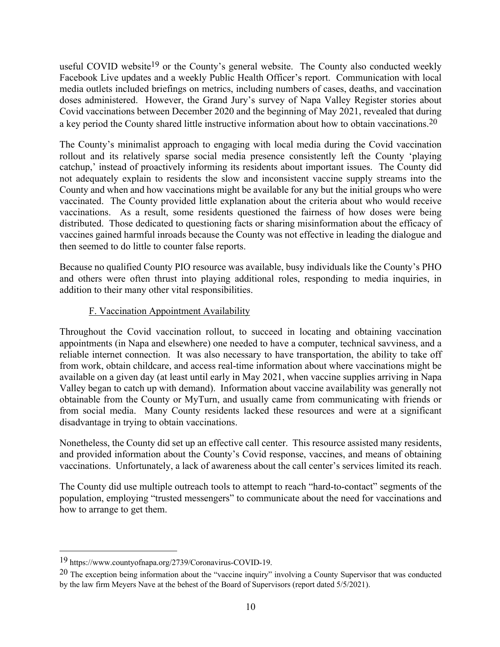useful COVID website<sup>19</sup> or the County's general website. The County also conducted weekly Facebook Live updates and a weekly Public Health Officer's report. Communication with local media outlets included briefings on metrics, including numbers of cases, deaths, and vaccination doses administered. However, the Grand Jury's survey of Napa Valley Register stories about Covid vaccinations between December 2020 and the beginning of May 2021, revealed that during a key period the County shared little instructive information about how to obtain vaccinations.<sup>20</sup>

The County's minimalist approach to engaging with local media during the Covid vaccination rollout and its relatively sparse social media presence consistently left the County 'playing catchup,' instead of proactively informing its residents about important issues. The County did not adequately explain to residents the slow and inconsistent vaccine supply streams into the County and when and how vaccinations might be available for any but the initial groups who were vaccinated. The County provided little explanation about the criteria about who would receive vaccinations. As a result, some residents questioned the fairness of how doses were being distributed. Those dedicated to questioning facts or sharing misinformation about the efficacy of vaccines gained harmful inroads because the County was not effective in leading the dialogue and then seemed to do little to counter false reports.

Because no qualified County PIO resource was available, busy individuals like the County's PHO and others were often thrust into playing additional roles, responding to media inquiries, in addition to their many other vital responsibilities.

#### F. Vaccination Appointment Availability

Throughout the Covid vaccination rollout, to succeed in locating and obtaining vaccination appointments (in Napa and elsewhere) one needed to have a computer, technical savviness, and a reliable internet connection. It was also necessary to have transportation, the ability to take off from work, obtain childcare, and access real-time information about where vaccinations might be available on a given day (at least until early in May 2021, when vaccine supplies arriving in Napa Valley began to catch up with demand). Information about vaccine availability was generally not obtainable from the County or MyTurn, and usually came from communicating with friends or from social media. Many County residents lacked these resources and were at a significant disadvantage in trying to obtain vaccinations.

Nonetheless, the County did set up an effective call center. This resource assisted many residents, and provided information about the County's Covid response, vaccines, and means of obtaining vaccinations. Unfortunately, a lack of awareness about the call center's services limited its reach.

The County did use multiple outreach tools to attempt to reach "hard-to-contact" segments of the population, employing "trusted messengers" to communicate about the need for vaccinations and how to arrange to get them.

<sup>19</sup> https://www.countyofnapa.org/2739/Coronavirus-COVID-19.

 $20$  The exception being information about the "vaccine inquiry" involving a County Supervisor that was conducted by the law firm Meyers Nave at the behest of the Board of Supervisors (report dated 5/5/2021).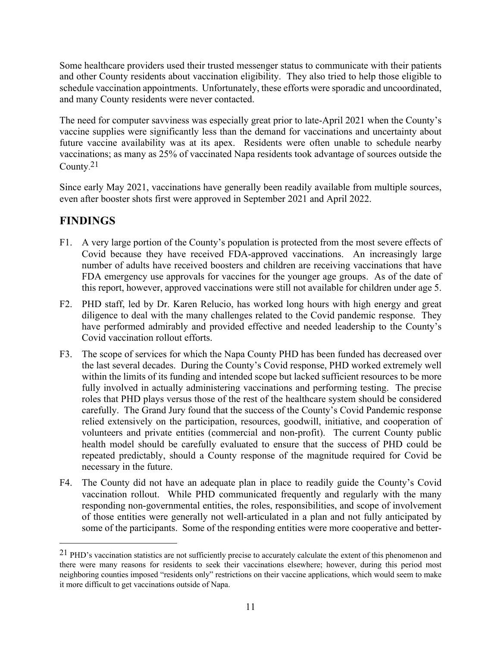Some healthcare providers used their trusted messenger status to communicate with their patients and other County residents about vaccination eligibility. They also tried to help those eligible to schedule vaccination appointments. Unfortunately, these efforts were sporadic and uncoordinated, and many County residents were never contacted.

The need for computer savviness was especially great prior to late-April 2021 when the County's vaccine supplies were significantly less than the demand for vaccinations and uncertainty about future vaccine availability was at its apex. Residents were often unable to schedule nearby vaccinations; as many as 25% of vaccinated Napa residents took advantage of sources outside the County. 21

Since early May 2021, vaccinations have generally been readily available from multiple sources, even after booster shots first were approved in September 2021 and April 2022.

## **FINDINGS**

- F1. A very large portion of the County's population is protected from the most severe effects of Covid because they have received FDA-approved vaccinations. An increasingly large number of adults have received boosters and children are receiving vaccinations that have FDA emergency use approvals for vaccines for the younger age groups. As of the date of this report, however, approved vaccinations were still not available for children under age 5.
- F2. PHD staff, led by Dr. Karen Relucio, has worked long hours with high energy and great diligence to deal with the many challenges related to the Covid pandemic response. They have performed admirably and provided effective and needed leadership to the County's Covid vaccination rollout efforts.
- F3. The scope of services for which the Napa County PHD has been funded has decreased over the last several decades. During the County's Covid response, PHD worked extremely well within the limits of its funding and intended scope but lacked sufficient resources to be more fully involved in actually administering vaccinations and performing testing. The precise roles that PHD plays versus those of the rest of the healthcare system should be considered carefully. The Grand Jury found that the success of the County's Covid Pandemic response relied extensively on the participation, resources, goodwill, initiative, and cooperation of volunteers and private entities (commercial and non-profit). The current County public health model should be carefully evaluated to ensure that the success of PHD could be repeated predictably, should a County response of the magnitude required for Covid be necessary in the future.
- F4. The County did not have an adequate plan in place to readily guide the County's Covid vaccination rollout. While PHD communicated frequently and regularly with the many responding non-governmental entities, the roles, responsibilities, and scope of involvement of those entities were generally not well-articulated in a plan and not fully anticipated by some of the participants. Some of the responding entities were more cooperative and better-

<sup>&</sup>lt;sup>21</sup> PHD's vaccination statistics are not sufficiently precise to accurately calculate the extent of this phenomenon and there were many reasons for residents to seek their vaccinations elsewhere; however, during this period most neighboring counties imposed "residents only" restrictions on their vaccine applications, which would seem to make it more difficult to get vaccinations outside of Napa.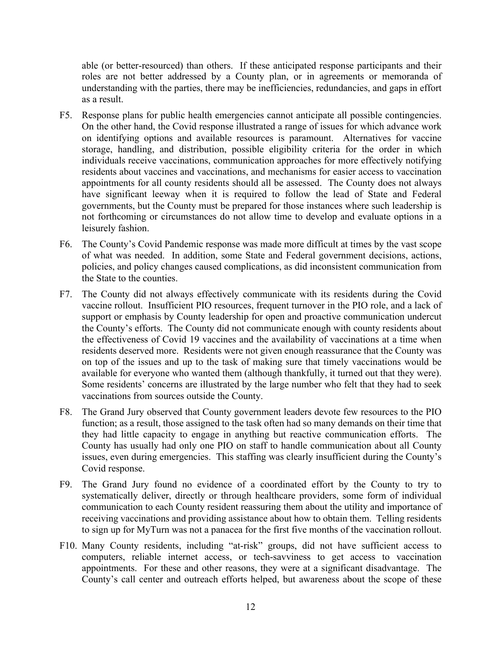able (or better-resourced) than others. If these anticipated response participants and their roles are not better addressed by a County plan, or in agreements or memoranda of understanding with the parties, there may be inefficiencies, redundancies, and gaps in effort as a result.

- F5. Response plans for public health emergencies cannot anticipate all possible contingencies. On the other hand, the Covid response illustrated a range of issues for which advance work on identifying options and available resources is paramount. Alternatives for vaccine storage, handling, and distribution, possible eligibility criteria for the order in which individuals receive vaccinations, communication approaches for more effectively notifying residents about vaccines and vaccinations, and mechanisms for easier access to vaccination appointments for all county residents should all be assessed. The County does not always have significant leeway when it is required to follow the lead of State and Federal governments, but the County must be prepared for those instances where such leadership is not forthcoming or circumstances do not allow time to develop and evaluate options in a leisurely fashion.
- F6. The County's Covid Pandemic response was made more difficult at times by the vast scope of what was needed. In addition, some State and Federal government decisions, actions, policies, and policy changes caused complications, as did inconsistent communication from the State to the counties.
- F7. The County did not always effectively communicate with its residents during the Covid vaccine rollout. Insufficient PIO resources, frequent turnover in the PIO role, and a lack of support or emphasis by County leadership for open and proactive communication undercut the County's efforts. The County did not communicate enough with county residents about the effectiveness of Covid 19 vaccines and the availability of vaccinations at a time when residents deserved more. Residents were not given enough reassurance that the County was on top of the issues and up to the task of making sure that timely vaccinations would be available for everyone who wanted them (although thankfully, it turned out that they were). Some residents' concerns are illustrated by the large number who felt that they had to seek vaccinations from sources outside the County.
- F8. The Grand Jury observed that County government leaders devote few resources to the PIO function; as a result, those assigned to the task often had so many demands on their time that they had little capacity to engage in anything but reactive communication efforts. The County has usually had only one PIO on staff to handle communication about all County issues, even during emergencies. This staffing was clearly insufficient during the County's Covid response.
- F9. The Grand Jury found no evidence of a coordinated effort by the County to try to systematically deliver, directly or through healthcare providers, some form of individual communication to each County resident reassuring them about the utility and importance of receiving vaccinations and providing assistance about how to obtain them. Telling residents to sign up for MyTurn was not a panacea for the first five months of the vaccination rollout.
- F10. Many County residents, including "at-risk" groups, did not have sufficient access to computers, reliable internet access, or tech-savviness to get access to vaccination appointments. For these and other reasons, they were at a significant disadvantage. The County's call center and outreach efforts helped, but awareness about the scope of these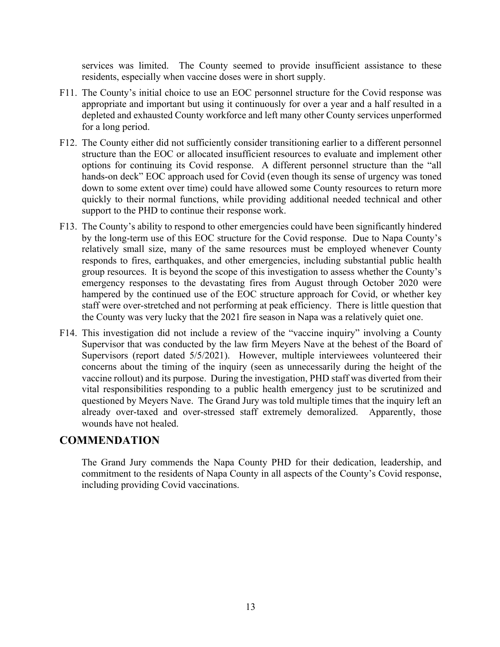services was limited. The County seemed to provide insufficient assistance to these residents, especially when vaccine doses were in short supply.

- F11. The County's initial choice to use an EOC personnel structure for the Covid response was appropriate and important but using it continuously for over a year and a half resulted in a depleted and exhausted County workforce and left many other County services unperformed for a long period.
- F12. The County either did not sufficiently consider transitioning earlier to a different personnel structure than the EOC or allocated insufficient resources to evaluate and implement other options for continuing its Covid response. A different personnel structure than the "all hands-on deck" EOC approach used for Covid (even though its sense of urgency was toned down to some extent over time) could have allowed some County resources to return more quickly to their normal functions, while providing additional needed technical and other support to the PHD to continue their response work.
- F13. The County's ability to respond to other emergencies could have been significantly hindered by the long-term use of this EOC structure for the Covid response. Due to Napa County's relatively small size, many of the same resources must be employed whenever County responds to fires, earthquakes, and other emergencies, including substantial public health group resources. It is beyond the scope of this investigation to assess whether the County's emergency responses to the devastating fires from August through October 2020 were hampered by the continued use of the EOC structure approach for Covid, or whether key staff were over-stretched and not performing at peak efficiency. There is little question that the County was very lucky that the 2021 fire season in Napa was a relatively quiet one.
- F14. This investigation did not include a review of the "vaccine inquiry" involving a County Supervisor that was conducted by the law firm Meyers Nave at the behest of the Board of Supervisors (report dated 5/5/2021). However, multiple interviewees volunteered their concerns about the timing of the inquiry (seen as unnecessarily during the height of the vaccine rollout) and its purpose. During the investigation, PHD staff was diverted from their vital responsibilities responding to a public health emergency just to be scrutinized and questioned by Meyers Nave. The Grand Jury was told multiple times that the inquiry left an already over-taxed and over-stressed staff extremely demoralized. Apparently, those wounds have not healed.

### **COMMENDATION**

The Grand Jury commends the Napa County PHD for their dedication, leadership, and commitment to the residents of Napa County in all aspects of the County's Covid response, including providing Covid vaccinations.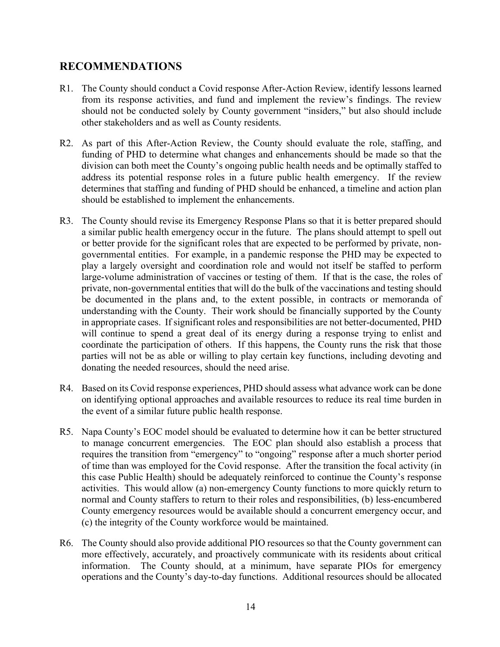### **RECOMMENDATIONS**

- R1. The County should conduct a Covid response After-Action Review, identify lessons learned from its response activities, and fund and implement the review's findings. The review should not be conducted solely by County government "insiders," but also should include other stakeholders and as well as County residents.
- R2. As part of this After-Action Review, the County should evaluate the role, staffing, and funding of PHD to determine what changes and enhancements should be made so that the division can both meet the County's ongoing public health needs and be optimally staffed to address its potential response roles in a future public health emergency. If the review determines that staffing and funding of PHD should be enhanced, a timeline and action plan should be established to implement the enhancements.
- R3. The County should revise its Emergency Response Plans so that it is better prepared should a similar public health emergency occur in the future. The plans should attempt to spell out or better provide for the significant roles that are expected to be performed by private, nongovernmental entities. For example, in a pandemic response the PHD may be expected to play a largely oversight and coordination role and would not itself be staffed to perform large-volume administration of vaccines or testing of them. If that is the case, the roles of private, non-governmental entities that will do the bulk of the vaccinations and testing should be documented in the plans and, to the extent possible, in contracts or memoranda of understanding with the County. Their work should be financially supported by the County in appropriate cases. If significant roles and responsibilities are not better-documented, PHD will continue to spend a great deal of its energy during a response trying to enlist and coordinate the participation of others. If this happens, the County runs the risk that those parties will not be as able or willing to play certain key functions, including devoting and donating the needed resources, should the need arise.
- R4. Based on its Covid response experiences, PHD should assess what advance work can be done on identifying optional approaches and available resources to reduce its real time burden in the event of a similar future public health response.
- R5. Napa County's EOC model should be evaluated to determine how it can be better structured to manage concurrent emergencies. The EOC plan should also establish a process that requires the transition from "emergency" to "ongoing" response after a much shorter period of time than was employed for the Covid response. After the transition the focal activity (in this case Public Health) should be adequately reinforced to continue the County's response activities. This would allow (a) non-emergency County functions to more quickly return to normal and County staffers to return to their roles and responsibilities, (b) less-encumbered County emergency resources would be available should a concurrent emergency occur, and (c) the integrity of the County workforce would be maintained.
- R6. The County should also provide additional PIO resources so that the County government can more effectively, accurately, and proactively communicate with its residents about critical information. The County should, at a minimum, have separate PIOs for emergency operations and the County's day-to-day functions. Additional resources should be allocated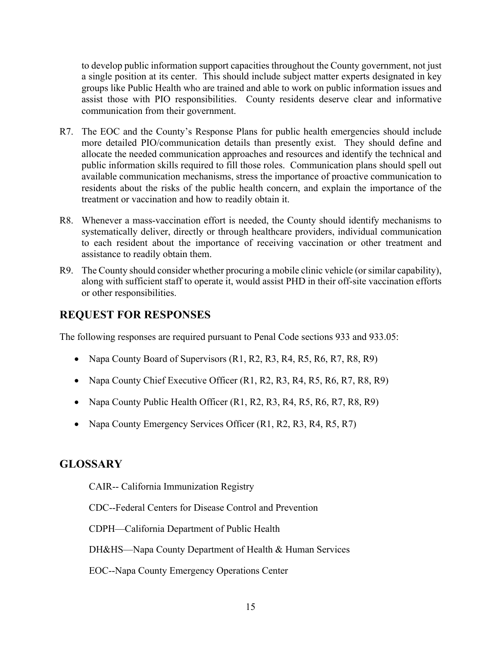to develop public information support capacities throughout the County government, not just a single position at its center. This should include subject matter experts designated in key groups like Public Health who are trained and able to work on public information issues and assist those with PIO responsibilities. County residents deserve clear and informative communication from their government.

- R7. The EOC and the County's Response Plans for public health emergencies should include more detailed PIO/communication details than presently exist. They should define and allocate the needed communication approaches and resources and identify the technical and public information skills required to fill those roles. Communication plans should spell out available communication mechanisms, stress the importance of proactive communication to residents about the risks of the public health concern, and explain the importance of the treatment or vaccination and how to readily obtain it.
- R8. Whenever a mass-vaccination effort is needed, the County should identify mechanisms to systematically deliver, directly or through healthcare providers, individual communication to each resident about the importance of receiving vaccination or other treatment and assistance to readily obtain them.
- R9. The County should consider whether procuring a mobile clinic vehicle (or similar capability), along with sufficient staff to operate it, would assist PHD in their off-site vaccination efforts or other responsibilities.

### **REQUEST FOR RESPONSES**

The following responses are required pursuant to Penal Code sections 933 and 933.05:

- Napa County Board of Supervisors (R1, R2, R3, R4, R5, R6, R7, R8, R9)
- Napa County Chief Executive Officer (R1, R2, R3, R4, R5, R6, R7, R8, R9)
- Napa County Public Health Officer (R1, R2, R3, R4, R5, R6, R7, R8, R9)
- Napa County Emergency Services Officer (R1, R2, R3, R4, R5, R7)

### **GLOSSARY**

CAIR-- California Immunization Registry

CDC--Federal Centers for Disease Control and Prevention

CDPH—California Department of Public Health

DH&HS—Napa County Department of Health & Human Services

EOC--Napa County Emergency Operations Center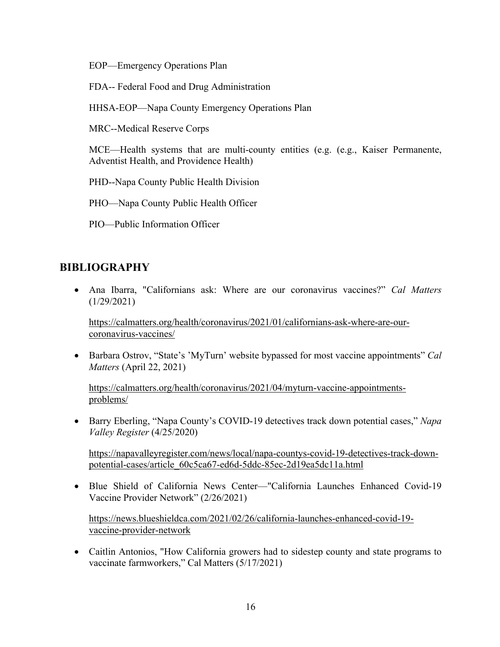EOP—Emergency Operations Plan

FDA-- Federal Food and Drug Administration

HHSA-EOP—Napa County Emergency Operations Plan

MRC--Medical Reserve Corps

MCE—Health systems that are multi-county entities (e.g. (e.g., Kaiser Permanente, Adventist Health, and Providence Health)

PHD--Napa County Public Health Division

PHO—Napa County Public Health Officer

PIO—Public Information Officer

### **BIBLIOGRAPHY**

• Ana Ibarra, "Californians ask: Where are our coronavirus vaccines?" *Cal Matters*  $(1/29/2021)$ 

https://calmatters.org/health/coronavirus/2021/01/californians-ask-where-are-ourcoronavirus-vaccines/

• Barbara Ostrov, "State's 'MyTurn' website bypassed for most vaccine appointments" *Cal Matters* (April 22, 2021)

https://calmatters.org/health/coronavirus/2021/04/myturn-vaccine-appointmentsproblems/

• Barry Eberling, "Napa County's COVID-19 detectives track down potential cases," *Napa Valley Register* (4/25/2020)

https://napavalleyregister.com/news/local/napa-countys-covid-19-detectives-track-downpotential-cases/article\_60c5ca67-ed6d-5ddc-85ec-2d19ea5dc11a.html

• Blue Shield of California News Center—"California Launches Enhanced Covid-19 Vaccine Provider Network" (2/26/2021)

https://news.blueshieldca.com/2021/02/26/california-launches-enhanced-covid-19 vaccine-provider-network

• Caitlin Antonios, "How California growers had to sidestep county and state programs to vaccinate farmworkers," Cal Matters (5/17/2021)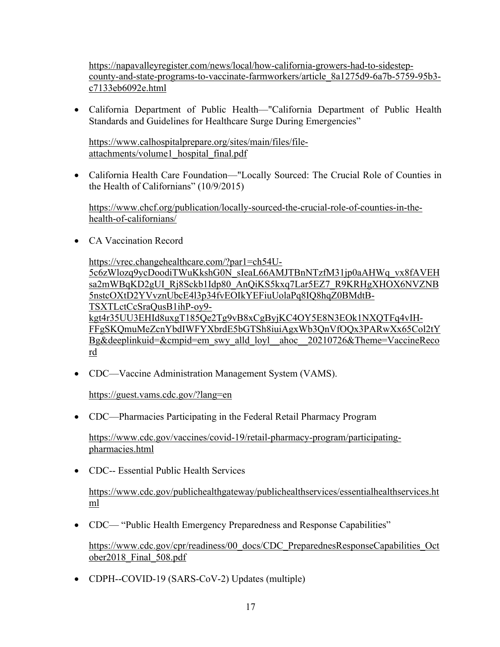https://napavalleyregister.com/news/local/how-california-growers-had-to-sidestepcounty-and-state-programs-to-vaccinate-farmworkers/article\_8a1275d9-6a7b-5759-95b3 c7133eb6092e.html

• California Department of Public Health—"California Department of Public Health Standards and Guidelines for Healthcare Surge During Emergencies"

https://www.calhospitalprepare.org/sites/main/files/fileattachments/volume1\_hospital\_final.pdf

• California Health Care Foundation—"Locally Sourced: The Crucial Role of Counties in the Health of Californians" (10/9/2015)

https://www.chcf.org/publication/locally-sourced-the-crucial-role-of-counties-in-thehealth-of-californians/

• CA Vaccination Record

https://vrec.changehealthcare.com/?par1=ch54U-5c6zWlozq9ycDoodiTWuKkshG0N\_sIeaL66AMJTBnNTzfM31jp0aAHWq\_vx8fAVEH sa2mWBqKD2gUI\_Rj8Sckb1Idp80\_AnQiKS5kxq7Lar5EZ7\_R9KRHgXHOX6NVZNB 5nstcOXtD2YVvznUbcE4l3p34fvEOIkYEFiuUolaPq8IQ8hqZ0BMdtB-TSXTLctCcSraQusB1ihP-oy9 kgt4r35UU3EHId8uxgT185Qe2Tg9vB8xCgByjKC4OY5E8N3EOk1NXQTFq4vIH-FFgSKQmuMeZcnYbdIWFYXbrdE5bGTSh8iuiAgxWb3QnVfOQx3PARwXx65Col2tY Bg&deeplinkuid=&cmpid=em\_swy\_alld\_loyl\_ahoc\_20210726&Theme=VaccineReco rd

• CDC—Vaccine Administration Management System (VAMS).

https://guest.vams.cdc.gov/?lang=en

• CDC—Pharmacies Participating in the Federal Retail Pharmacy Program

https://www.cdc.gov/vaccines/covid-19/retail-pharmacy-program/participatingpharmacies.html

• CDC-- Essential Public Health Services

https://www.cdc.gov/publichealthgateway/publichealthservices/essentialhealthservices.ht ml

• CDC— "Public Health Emergency Preparedness and Response Capabilities"

https://www.cdc.gov/cpr/readiness/00\_docs/CDC\_PreparednesResponseCapabilities\_Oct ober2018\_Final\_508.pdf

• CDPH--COVID-19 (SARS-CoV-2) Updates (multiple)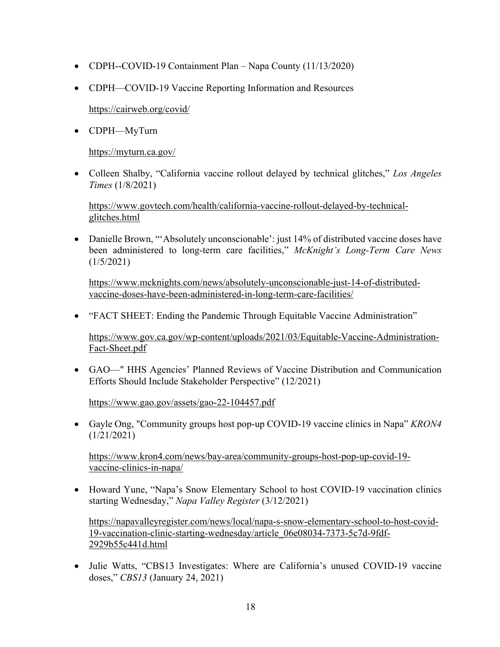- CDPH--COVID-19 Containment Plan Napa County (11/13/2020)
- CDPH—COVID-19 Vaccine Reporting Information and Resources

https://cairweb.org/covid/

• CDPH—MyTurn

https://myturn.ca.gov/

• Colleen Shalby, "California vaccine rollout delayed by technical glitches," *Los Angeles Times* (1/8/2021)

https://www.govtech.com/health/california-vaccine-rollout-delayed-by-technicalglitches.html

• Danielle Brown, "'Absolutely unconscionable': just 14% of distributed vaccine doses have been administered to long-term care facilities," *McKnight's Long-Term Care News* (1/5/2021)

https://www.mcknights.com/news/absolutely-unconscionable-just-14-of-distributedvaccine-doses-have-been-administered-in-long-term-care-facilities/

• "FACT SHEET: Ending the Pandemic Through Equitable Vaccine Administration"

https://www.gov.ca.gov/wp-content/uploads/2021/03/Equitable-Vaccine-Administration-Fact-Sheet.pdf

• GAO—" HHS Agencies' Planned Reviews of Vaccine Distribution and Communication Efforts Should Include Stakeholder Perspective" (12/2021)

https://www.gao.gov/assets/gao-22-104457.pdf

• Gayle Ong, "Community groups host pop-up COVID-19 vaccine clinics in Napa" *KRON4* (1/21/2021)

https://www.kron4.com/news/bay-area/community-groups-host-pop-up-covid-19 vaccine-clinics-in-napa/

• Howard Yune, "Napa's Snow Elementary School to host COVID-19 vaccination clinics starting Wednesday," *Napa Valley Register* (3/12/2021)

https://napavalleyregister.com/news/local/napa-s-snow-elementary-school-to-host-covid-19-vaccination-clinic-starting-wednesday/article\_06e08034-7373-5c7d-9fdf-2929b55c441d.html

• Julie Watts, "CBS13 Investigates: Where are California's unused COVID-19 vaccine doses," *CBS13* (January 24, 2021)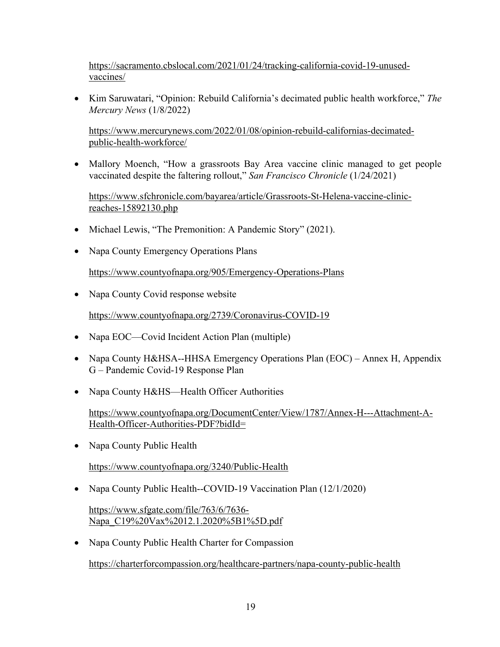https://sacramento.cbslocal.com/2021/01/24/tracking-california-covid-19-unusedvaccines/

• Kim Saruwatari, "Opinion: Rebuild California's decimated public health workforce," *The Mercury News* (1/8/2022)

https://www.mercurynews.com/2022/01/08/opinion-rebuild-californias-decimatedpublic-health-workforce/

• Mallory Moench, "How a grassroots Bay Area vaccine clinic managed to get people vaccinated despite the faltering rollout," *San Francisco Chronicle* (1/24/2021)

https://www.sfchronicle.com/bayarea/article/Grassroots-St-Helena-vaccine-clinicreaches-15892130.php

- Michael Lewis, "The Premonition: A Pandemic Story" (2021).
- Napa County Emergency Operations Plans

https://www.countyofnapa.org/905/Emergency-Operations-Plans

• Napa County Covid response website

https://www.countyofnapa.org/2739/Coronavirus-COVID-19

- Napa EOC—Covid Incident Action Plan (multiple)
- Napa County H&HSA--HHSA Emergency Operations Plan (EOC) Annex H, Appendix G – Pandemic Covid-19 Response Plan
- Napa County H&HS—Health Officer Authorities

https://www.countyofnapa.org/DocumentCenter/View/1787/Annex-H---Attachment-A-Health-Officer-Authorities-PDF?bidId=

• Napa County Public Health

https://www.countyofnapa.org/3240/Public-Health

• Napa County Public Health--COVID-19 Vaccination Plan (12/1/2020)

https://www.sfgate.com/file/763/6/7636- Napa\_C19%20Vax%2012.1.2020%5B1%5D.pdf

• Napa County Public Health Charter for Compassion https://charterforcompassion.org/healthcare-partners/napa-county-public-health